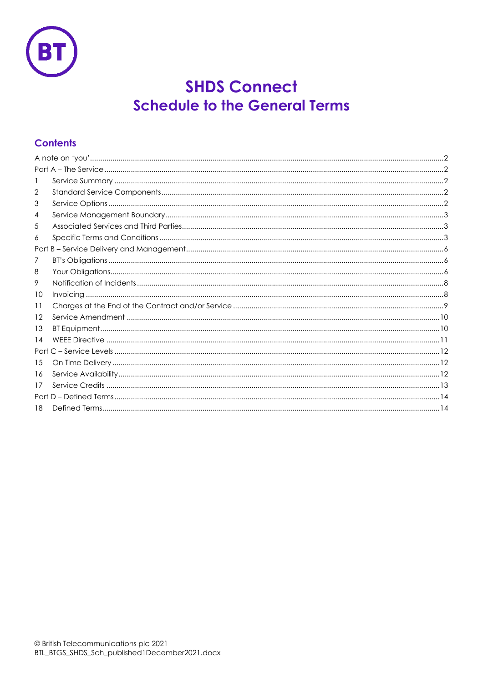

# **SHDS Connect Schedule to the General Terms**

# **Contents**

| 1    |  |
|------|--|
| 2    |  |
| 3    |  |
| 4    |  |
| 5    |  |
| 6    |  |
|      |  |
| 7    |  |
| 8    |  |
| 9    |  |
| 10   |  |
| 11   |  |
| 12   |  |
| 13   |  |
| 14   |  |
| Part |  |
| 15   |  |
| 16   |  |
| 17   |  |
|      |  |
| 18   |  |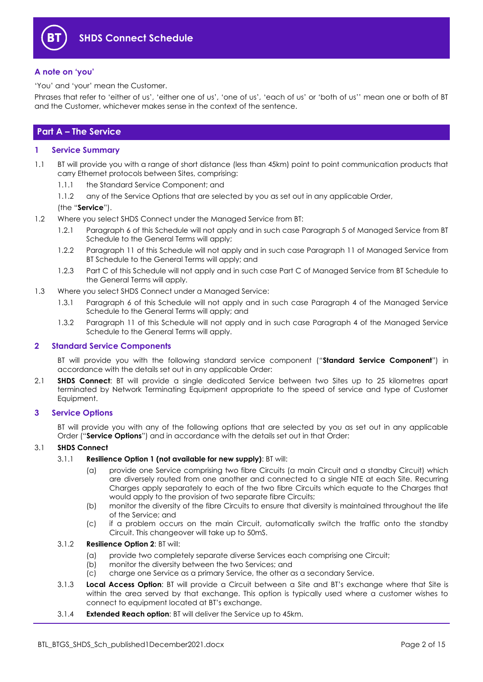

#### <span id="page-1-0"></span>**A note on 'you'**

'You' and 'your' mean the Customer.

Phrases that refer to 'either of us', 'either one of us', 'one of us', 'each of us' or 'both of us'' mean one or both of BT and the Customer, whichever makes sense in the context of the sentence.

## <span id="page-1-1"></span>**Part A – The Service**

#### <span id="page-1-2"></span>**1 Service Summary**

- 1.1 BT will provide you with a range of short distance (less than 45km) point to point communication products that carry Ethernet protocols between Sites, comprising:
	- 1.1.1 the Standard Service Component; and
	- 1.1.2 any of the Service Options that are selected by you as set out in any applicable Order,

#### (the "**Service**").

- 1.2 Where you select SHDS Connect under the Managed Service from BT:
	- 1.2.1 Paragraph 6 of this Schedule will not apply and in such case Paragraph 5 of Managed Service from BT Schedule to the General Terms will apply;
	- 1.2.2 Paragraph 11 of this Schedule will not apply and in such case Paragraph 11 of Managed Service from BT Schedule to the General Terms will apply; and
	- 1.2.3 Part C of this Schedule will not apply and in such case Part C of Managed Service from BT Schedule to the General Terms will apply.
- 1.3 Where you select SHDS Connect under a Managed Service:
	- 1.3.1 Paragraph 6 of this Schedule will not apply and in such case Paragraph 4 of the Managed Service Schedule to the General Terms will apply; and
	- 1.3.2 Paragraph 11 of this Schedule will not apply and in such case Paragraph 4 of the Managed Service Schedule to the General Terms will apply.

#### <span id="page-1-3"></span>**2 Standard Service Components**

BT will provide you with the following standard service component ("**Standard Service Component**") in accordance with the details set out in any applicable Order:

2.1 **SHDS Connect**: BT will provide a single dedicated Service between two Sites up to 25 kilometres apart terminated by Network Terminating Equipment appropriate to the speed of service and type of Customer Equipment.

#### <span id="page-1-4"></span>**3 Service Options**

BT will provide you with any of the following options that are selected by you as set out in any applicable Order ("**Service Options**") and in accordance with the details set out in that Order:

#### 3.1 **SHDS Connect**

#### 3.1.1 **Resilience Option 1 (not available for new supply)**: BT will:

- (a) provide one Service comprising two fibre Circuits (a main Circuit and a standby Circuit) which are diversely routed from one another and connected to a single NTE at each Site. Recurring Charges apply separately to each of the two fibre Circuits which equate to the Charges that would apply to the provision of two separate fibre Circuits;
- (b) monitor the diversity of the fibre Circuits to ensure that diversity is maintained throughout the life of the Service; and
- (c) if a problem occurs on the main Circuit, automatically switch the traffic onto the standby Circuit. This changeover will take up to 50mS.

#### 3.1.2 **Resilience Option 2**: BT will:

- (a) provide two completely separate diverse Services each comprising one Circuit;
- (b) monitor the diversity between the two Services; and
- (c) charge one Service as a primary Service, the other as a secondary Service.
- 3.1.3 **Local Access Option**: BT will provide a Circuit between a Site and BT's exchange where that Site is within the area served by that exchange. This option is typically used where a customer wishes to connect to equipment located at BT's exchange.
- 3.1.4 **Extended Reach option**: BT will deliver the Service up to 45km.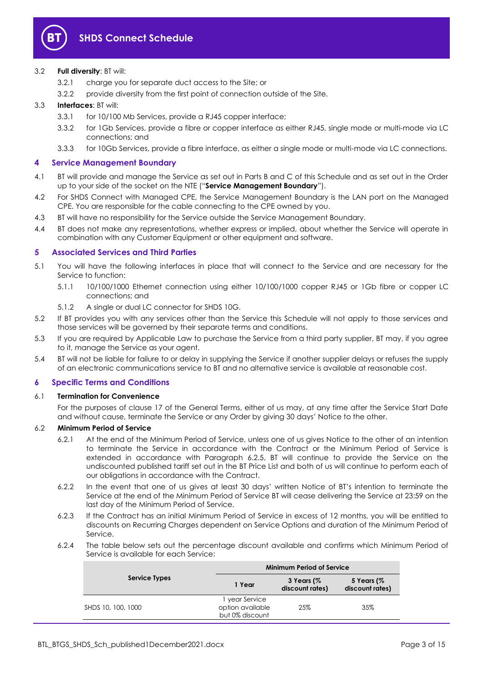

#### 3.2 **Full diversity**: BT will:

- 3.2.1 charge you for separate duct access to the Site; or
- 3.2.2 provide diversity from the first point of connection outside of the Site.

#### 3.3 **Interfaces**: BT will:

- 3.3.1 for 10/100 Mb Services, provide a RJ45 copper interface;
- 3.3.2 for 1Gb Services, provide a fibre or copper interface as either RJ45, single mode or multi-mode via LC connections; and
- 3.3.3 for 10Gb Services, provide a fibre interface, as either a single mode or multi-mode via LC connections.

#### <span id="page-2-0"></span>**4 Service Management Boundary**

- <span id="page-2-3"></span>4.1 BT will provide and manage the Service as set out in Parts B and C of this Schedule and as set out in the Order up to your side of the socket on the NTE ("**Service Management Boundary**").
- 4.2 For SHDS Connect with Managed CPE, the Service Management Boundary is the LAN port on the Managed CPE. You are responsible for the cable connecting to the CPE owned by you.
- 4.3 BT will have no responsibility for the Service outside the Service Management Boundary.
- 4.4 BT does not make any representations, whether express or implied, about whether the Service will operate in combination with any Customer Equipment or other equipment and software.

#### <span id="page-2-1"></span>**5 Associated Services and Third Parties**

- 5.1 You will have the following interfaces in place that will connect to the Service and are necessary for the Service to function:
	- 5.1.1 10/100/1000 Ethernet connection using either 10/100/1000 copper RJ45 or 1Gb fibre or copper LC connections; and
	- 5.1.2 A single or dual LC connector for SHDS 10G.
- 5.2 If BT provides you with any services other than the Service this Schedule will not apply to those services and those services will be governed by their separate terms and conditions.
- 5.3 If you are required by Applicable Law to purchase the Service from a third party supplier, BT may, if you agree to it, manage the Service as your agent.
- 5.4 BT will not be liable for failure to or delay in supplying the Service if another supplier delays or refuses the supply of an electronic communications service to BT and no alternative service is available at reasonable cost.

#### <span id="page-2-2"></span>**6 Specific Terms and Conditions**

#### 6.1 **Termination for Convenience**

For the purposes of clause 17 of the General Terms, either of us may, at any time after the Service Start Date and without cause, terminate the Service or any Order by giving 30 days' Notice to the other.

#### 6.2 **Minimum Period of Service**

- 6.2.1 At the end of the Minimum Period of Service, unless one of us gives Notice to the other of an intention to terminate the Service in accordance with the Contract or the Minimum Period of Service is extended in accordance with Paragraph [6.2.5,](#page-3-0) BT will continue to provide the Service on the undiscounted published tariff set out in the BT Price List and both of us will continue to perform each of our obligations in accordance with the Contract.
- 6.2.2 In the event that one of us gives at least 30 days' written Notice of BT's intention to terminate the Service at the end of the Minimum Period of Service BT will cease delivering the Service at 23:59 on the last day of the Minimum Period of Service.
- 6.2.3 If the Contract has an initial Minimum Period of Service in excess of 12 months, you will be entitled to discounts on Recurring Charges dependent on Service Options and duration of the Minimum Period of Service.
- 6.2.4 The table below sets out the percentage discount available and confirms which Minimum Period of Service is available for each Service:

|                    | <b>Minimum Period of Service</b>                      |                               |                                  |
|--------------------|-------------------------------------------------------|-------------------------------|----------------------------------|
| Service Types      | 1 Year                                                | 3 Years (%<br>discount rates) | 5 Years $($ %<br>discount rates) |
| SHDS 10, 100, 1000 | 1 year Service<br>option available<br>but 0% discount | 25%                           | 35%                              |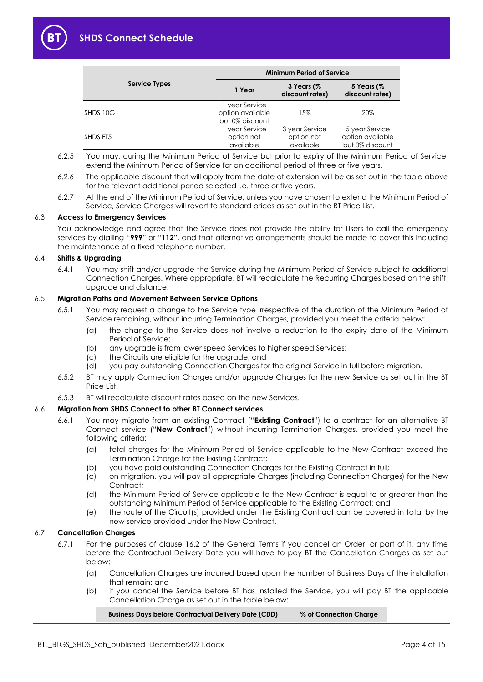

|                      | <b>Minimum Period of Service</b>                      |                                           |                                                       |
|----------------------|-------------------------------------------------------|-------------------------------------------|-------------------------------------------------------|
| <b>Service Types</b> | 1 Year                                                | 3 Years (%<br>discount rates)             | 5 Years (%<br>discount rates)                         |
| SHDS 10G             | l year Service<br>option available<br>but 0% discount | 15%                                       | 20%                                                   |
| SHDS FT5             | year Service<br>option not<br>available               | 3 year Service<br>option not<br>available | 5 year Service<br>option available<br>but 0% discount |

- <span id="page-3-0"></span>6.2.5 You may, during the Minimum Period of Service but prior to expiry of the Minimum Period of Service, extend the Minimum Period of Service for an additional period of three or five years.
- 6.2.6 The applicable discount that will apply from the date of extension will be as set out in the table above for the relevant additional period selected i.e. three or five years.
- 6.2.7 At the end of the Minimum Period of Service, unless you have chosen to extend the Minimum Period of Service, Service Charges will revert to standard prices as set out in the BT Price List.

#### 6.3 **Access to Emergency Services**

You acknowledge and agree that the Service does not provide the ability for Users to call the emergency services by dialling "**999**" or "**112**", and that alternative arrangements should be made to cover this including the maintenance of a fixed telephone number.

#### 6.4 **Shifts & Upgrading**

6.4.1 You may shift and/or upgrade the Service during the Minimum Period of Service subject to additional Connection Charges. Where appropriate, BT will recalculate the Recurring Charges based on the shift, upgrade and distance.

#### 6.5 **Migration Paths and Movement Between Service Options**

- 6.5.1 You may request a change to the Service type irrespective of the duration of the Minimum Period of Service remaining, without incurring Termination Charges, provided you meet the criteria below:
	- (a) the change to the Service does not involve a reduction to the expiry date of the Minimum Period of Service;
	- (b) any upgrade is from lower speed Services to higher speed Services;
	- (c) the Circuits are eligible for the upgrade; and
	- (d) you pay outstanding Connection Charges for the original Service in full before migration.
- 6.5.2 BT may apply Connection Charges and/or upgrade Charges for the new Service as set out in the BT Price List.
- 6.5.3 BT will recalculate discount rates based on the new Services.

#### <span id="page-3-1"></span>6.6 **Migration from SHDS Connect to other BT Connect services**

- 6.6.1 You may migrate from an existing Contract ("**Existing Contract**") to a contract for an alternative BT Connect service ("**New Contract**") without incurring Termination Charges, provided you meet the following criteria:
	- (a) total charges for the Minimum Period of Service applicable to the New Contract exceed the Termination Charge for the Existing Contract;
	- (b) you have paid outstanding Connection Charges for the Existing Contract in full;
	- (c) on migration, you will pay all appropriate Charges (including Connection Charges) for the New Contract:
	- (d) the Minimum Period of Service applicable to the New Contract is equal to or greater than the outstanding Minimum Period of Service applicable to the Existing Contract; and
	- (e) the route of the Circuit(s) provided under the Existing Contract can be covered in total by the new service provided under the New Contract.

#### 6.7 **Cancellation Charges**

- 6.7.1 For the purposes of clause 16.2 of the General Terms if you cancel an Order, or part of it, any time before the Contractual Delivery Date you will have to pay BT the Cancellation Charges as set out below:
	- (a) Cancellation Charges are incurred based upon the number of Business Days of the installation that remain; and
	- (b) if you cancel the Service before BT has installed the Service, you will pay BT the applicable Cancellation Charge as set out in the table below:

#### **Business Days before Contractual Delivery Date (CDD) % of Connection Charge**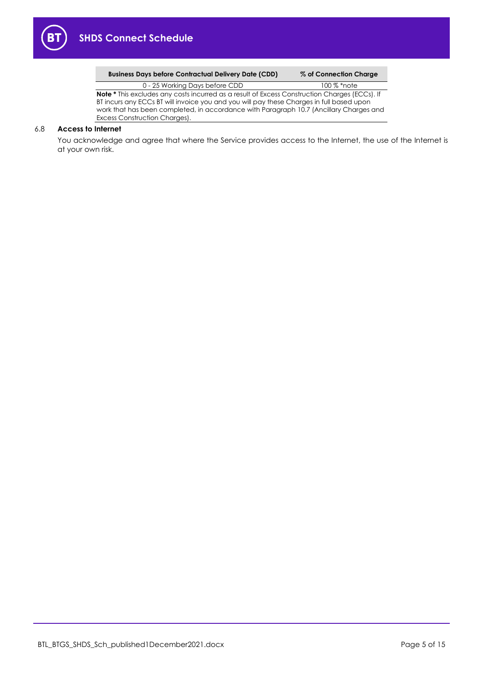

| <b>Business Days before Contractual Delivery Date (CDD)</b> | % of Conne |
|-------------------------------------------------------------|------------|
|-------------------------------------------------------------|------------|

**Business Days before Contractual Delivery Date (CDD) % of Connection Charge**

0 - 25 Working Days before CDD 100 % \*note **Note \*** This excludes any costs incurred as a result of Excess Construction Charges (ECCs). If BT incurs any ECCs BT will invoice you and you will pay these Charges in full based upon work that has been completed, in accordance with Paragrap[h 10.7](#page-8-1) (Ancillary Charges and Excess Construction Charges).

#### 6.8 **Access to Internet**

You acknowledge and agree that where the Service provides access to the Internet, the use of the Internet is at your own risk.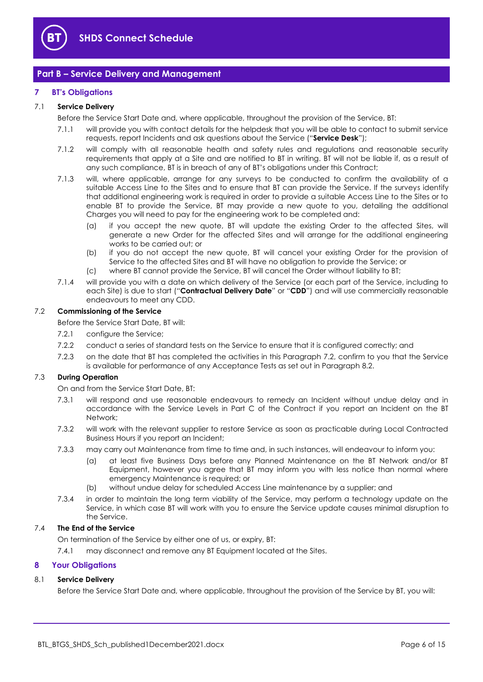

### <span id="page-5-0"></span>**Part B – Service Delivery and Management**

#### <span id="page-5-1"></span>**7 BT's Obligations**

#### <span id="page-5-8"></span>7.1 **Service Delivery**

Before the Service Start Date and, where applicable, throughout the provision of the Service, BT:

- 7.1.1 will provide you with contact details for the helpdesk that you will be able to contact to submit service requests, report Incidents and ask questions about the Service ("**Service Desk**");
- 7.1.2 will comply with all reasonable health and safety rules and regulations and reasonable security requirements that apply at a Site and are notified to BT in writing. BT will not be liable if, as a result of any such compliance, BT is in breach of any of BT's obligations under this Contract;
- 7.1.3 will, where applicable, arrange for any surveys to be conducted to confirm the availability of a suitable Access Line to the Sites and to ensure that BT can provide the Service. If the surveys identify that additional engineering work is required in order to provide a suitable Access Line to the Sites or to enable BT to provide the Service, BT may provide a new quote to you, detailing the additional Charges you will need to pay for the engineering work to be completed and:
	- (a) if you accept the new quote, BT will update the existing Order to the affected Sites, will generate a new Order for the affected Sites and will arrange for the additional engineering works to be carried out; or
	- (b) if you do not accept the new quote, BT will cancel your existing Order for the provision of Service to the affected Sites and BT will have no obligation to provide the Service; or
	- (c) where BT cannot provide the Service, BT will cancel the Order without liability to BT;
- <span id="page-5-7"></span>7.1.4 will provide you with a date on which delivery of the Service (or each part of the Service, including to each Site) is due to start ("**Contractual Delivery Date**" or "**CDD**") and will use commercially reasonable endeavours to meet any CDD.

#### <span id="page-5-3"></span>7.2 **Commissioning of the Service**

Before the Service Start Date, BT will:

- 7.2.1 configure the Service;
- 7.2.2 conduct a series of standard tests on the Service to ensure that it is configured correctly; and
- 7.2.3 on the date that BT has completed the activities in this Paragraph [7.2,](#page-5-3) confirm to you that the Service is available for performance of any Acceptance Tests as set out in Paragraph [8.2.](#page-6-0)

#### <span id="page-5-5"></span><span id="page-5-4"></span>7.3 **During Operation**

On and from the Service Start Date, BT:

- 7.3.1 will respond and use reasonable endeavours to remedy an Incident without undue delay and in accordance with the Service Levels in Part C of the Contract if you report an Incident on the BT Network;
- <span id="page-5-6"></span>7.3.2 will work with the relevant supplier to restore Service as soon as practicable during Local Contracted Business Hours if you report an Incident;
- 7.3.3 may carry out Maintenance from time to time and, in such instances, will endeavour to inform you:
	- (a) at least five Business Days before any Planned Maintenance on the BT Network and/or BT Equipment, however you agree that BT may inform you with less notice than normal where emergency Maintenance is required; or
	- (b) without undue delay for scheduled Access Line maintenance by a supplier; and
- 7.3.4 in order to maintain the long term viability of the Service, may perform a technology update on the Service, in which case BT will work with you to ensure the Service update causes minimal disruption to the Service.

#### 7.4 **The End of the Service**

On termination of the Service by either one of us, or expiry, BT:

7.4.1 may disconnect and remove any BT Equipment located at the Sites.

#### <span id="page-5-2"></span>**8 Your Obligations**

#### 8.1 **Service Delivery**

Before the Service Start Date and, where applicable, throughout the provision of the Service by BT, you will: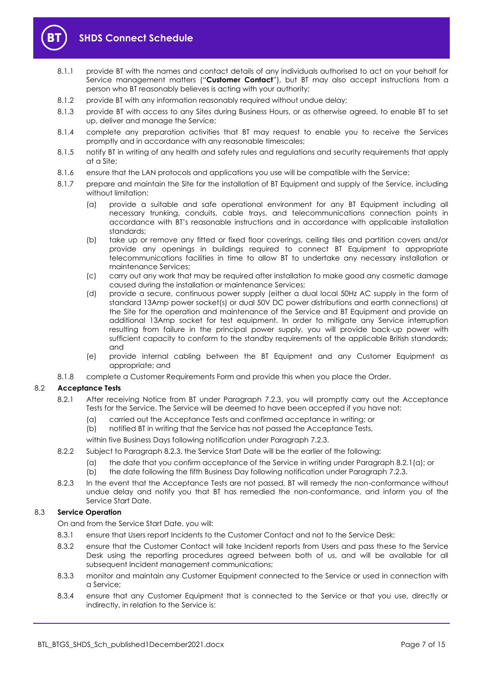

- <span id="page-6-3"></span>8.1.1 provide BT with the names and contact details of any individuals authorised to act on your behalf for Service management matters ("**Customer Contact**"), but BT may also accept instructions from a person who BT reasonably believes is acting with your authority;
- 8.1.2 provide BT with any information reasonably required without undue delay;
- 8.1.3 provide BT with access to any Sites during Business Hours, or as otherwise agreed, to enable BT to set up, deliver and manage the Service;
- 8.1.4 complete any preparation activities that BT may request to enable you to receive the Services promptly and in accordance with any reasonable timescales;
- 8.1.5 notify BT in writing of any health and safety rules and regulations and security requirements that apply at a Site;
- 8.1.6 ensure that the LAN protocols and applications you use will be compatible with the Service;
- 8.1.7 prepare and maintain the Site for the installation of BT Equipment and supply of the Service, including without limitation:
	- (a) provide a suitable and safe operational environment for any BT Equipment including all necessary trunking, conduits, cable trays, and telecommunications connection points in accordance with BT's reasonable instructions and in accordance with applicable installation standards;
	- (b) take up or remove any fitted or fixed floor coverings, ceiling tiles and partition covers and/or provide any openings in buildings required to connect BT Equipment to appropriate telecommunications facilities in time to allow BT to undertake any necessary installation or maintenance Services;
	- (c) carry out any work that may be required after installation to make good any cosmetic damage caused during the installation or maintenance Services;
	- (d) provide a secure, continuous power supply (either a dual local 50Hz AC supply in the form of standard 13Amp power socket(s) or dual 50V DC power distributions and earth connections) at the Site for the operation and maintenance of the Service and BT Equipment and provide an additional 13Amp socket for test equipment. In order to mitigate any Service interruption resulting from failure in the principal power supply, you will provide back-up power with sufficient capacity to conform to the standby requirements of the applicable British standards; and
	- (e) provide internal cabling between the BT Equipment and any Customer Equipment as appropriate; and
- 8.1.8 complete a Customer Requirements Form and provide this when you place the Order.

#### <span id="page-6-0"></span>8.2 **Acceptance Tests**

- <span id="page-6-2"></span>8.2.1 After receiving Notice from BT under Paragraph [7.2.3,](#page-5-4) you will promptly carry out the Acceptance Tests for the Service. The Service will be deemed to have been accepted if you have not:
	- (a) carried out the Acceptance Tests and confirmed acceptance in writing; or
	- (b) notified BT in writing that the Service has not passed the Acceptance Tests,
	- within five Business Days following notification under Paragraph [7.2.3.](#page-5-4)
- 8.2.2 Subject to Paragraph [8.2.3,](#page-6-1) the Service Start Date will be the earlier of the following:
	- (a) the date that you confirm acceptance of the Service in writing under Paragrap[h 8.2.1\(a\);](#page-6-2) or
	- (b) the date following the fifth Business Day following notification under Paragrap[h 7.2.3.](#page-5-4)
- <span id="page-6-1"></span>8.2.3 In the event that the Acceptance Tests are not passed, BT will remedy the non-conformance without undue delay and notify you that BT has remedied the non-conformance, and inform you of the Service Start Date.

#### 8.3 **Service Operation**

On and from the Service Start Date, you will:

- 8.3.1 ensure that Users report Incidents to the Customer Contact and not to the Service Desk;
- 8.3.2 ensure that the Customer Contact will take Incident reports from Users and pass these to the Service Desk using the reporting procedures agreed between both of us, and will be available for all subsequent Incident management communications;
- 8.3.3 monitor and maintain any Customer Equipment connected to the Service or used in connection with a Service;
- 8.3.4 ensure that any Customer Equipment that is connected to the Service or that you use, directly or indirectly, in relation to the Service is: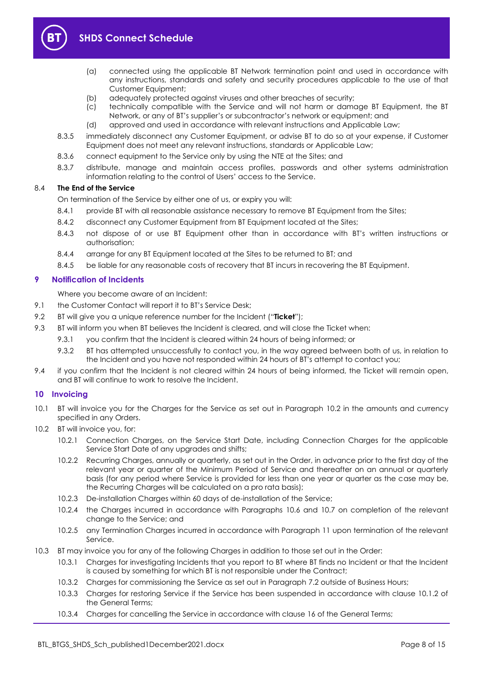

- (a) connected using the applicable BT Network termination point and used in accordance with any instructions, standards and safety and security procedures applicable to the use of that Customer Equipment;
- (b) adequately protected against viruses and other breaches of security;
- (c) technically compatible with the Service and will not harm or damage BT Equipment, the BT Network, or any of BT's supplier's or subcontractor's network or equipment; and
- (d) approved and used in accordance with relevant instructions and Applicable Law;
- 8.3.5 immediately disconnect any Customer Equipment, or advise BT to do so at your expense, if Customer Equipment does not meet any relevant instructions, standards or Applicable Law;
- 8.3.6 connect equipment to the Service only by using the NTE at the Sites; and
- 8.3.7 distribute, manage and maintain access profiles, passwords and other systems administration information relating to the control of Users' access to the Service.

#### 8.4 **The End of the Service**

On termination of the Service by either one of us, or expiry you will:

- 8.4.1 provide BT with all reasonable assistance necessary to remove BT Equipment from the Sites;
- 8.4.2 disconnect any Customer Equipment from BT Equipment located at the Sites;
- 8.4.3 not dispose of or use BT Equipment other than in accordance with BT's written instructions or authorisation;
- 8.4.4 arrange for any BT Equipment located at the Sites to be returned to BT; and
- 8.4.5 be liable for any reasonable costs of recovery that BT incurs in recovering the BT Equipment.

#### <span id="page-7-0"></span>**9 Notification of Incidents**

Where you become aware of an Incident:

- 9.1 the Customer Contact will report it to BT's Service Desk;
- <span id="page-7-3"></span>9.2 BT will give you a unique reference number for the Incident ("**Ticket**");
- 9.3 BT will inform you when BT believes the Incident is cleared, and will close the Ticket when:
	- 9.3.1 you confirm that the Incident is cleared within 24 hours of being informed; or
	- 9.3.2 BT has attempted unsuccessfully to contact you, in the way agreed between both of us, in relation to the Incident and you have not responded within 24 hours of BT's attempt to contact you;
- 9.4 if you confirm that the Incident is not cleared within 24 hours of being informed, the Ticket will remain open, and BT will continue to work to resolve the Incident.

#### <span id="page-7-1"></span>**10 Invoicing**

- 10.1 BT will invoice you for the Charges for the Service as set out in Paragraph [10.2](#page-7-2) in the amounts and currency specified in any Orders.
- <span id="page-7-2"></span>10.2 BT will invoice you, for:
	- 10.2.1 Connection Charges, on the Service Start Date, including Connection Charges for the applicable Service Start Date of any upgrades and shifts;
	- 10.2.2 Recurring Charges, annually or quarterly, as set out in the Order, in advance prior to the first day of the relevant year or quarter of the Minimum Period of Service and thereafter on an annual or quarterly basis (for any period where Service is provided for less than one year or quarter as the case may be, the Recurring Charges will be calculated on a pro rata basis);
	- 10.2.3 De-installation Charges within 60 days of de-installation of the Service;
	- 10.2.4 the Charges incurred in accordance with Paragraphs [10.6](#page-8-2) and [10.7](#page-8-1) on completion of the relevant change to the Service; and
	- 10.2.5 any Termination Charges incurred in accordance with Paragraph [11](#page-8-0) upon termination of the relevant Service.
- 10.3 BT may invoice you for any of the following Charges in addition to those set out in the Order:
	- 10.3.1 Charges for investigating Incidents that you report to BT where BT finds no Incident or that the Incident is caused by something for which BT is not responsible under the Contract;
	- 10.3.2 Charges for commissioning the Service as set out in Paragraph [7.2](#page-5-3) outside of Business Hours;
	- 10.3.3 Charges for restoring Service if the Service has been suspended in accordance with clause 10.1.2 of the General Terms;
	- 10.3.4 Charges for cancelling the Service in accordance with clause 16 of the General Terms;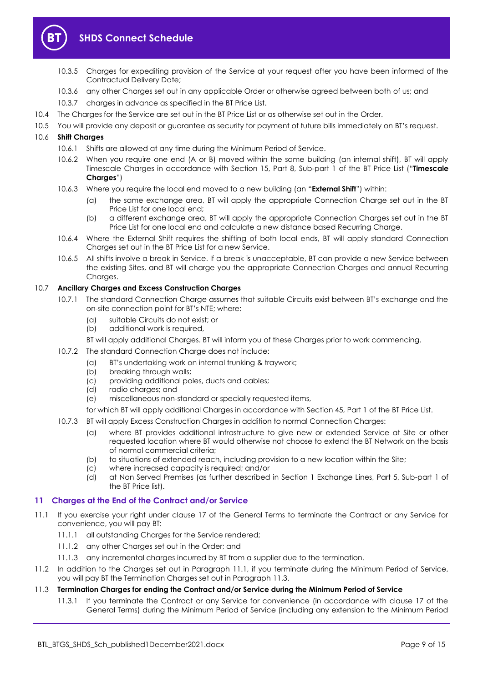

# **SHDS Connect Schedule**

- 10.3.5 Charges for expediting provision of the Service at your request after you have been informed of the Contractual Delivery Date;
- 10.3.6 any other Charges set out in any applicable Order or otherwise agreed between both of us; and
- 10.3.7 charges in advance as specified in the BT Price List.
- 10.4 The Charges for the Service are set out in the BT Price List or as otherwise set out in the Order.
- 10.5 You will provide any deposit or guarantee as security for payment of future bills immediately on BT's request.

#### <span id="page-8-6"></span><span id="page-8-2"></span>10.6 **Shift Charges**

- 10.6.1 Shifts are allowed at any time during the Minimum Period of Service.
- 10.6.2 When you require one end (A or B) moved within the same building (an internal shift), BT will apply Timescale Charges in accordance with Section 15, Part 8, Sub-part 1 of the BT Price List ("**Timescale Charges**")
- <span id="page-8-5"></span>10.6.3 Where you require the local end moved to a new building (an "**External Shift**") within:
	- (a) the same exchange area, BT will apply the appropriate Connection Charge set out in the BT Price List for one local end;
	- (b) a different exchange area, BT will apply the appropriate Connection Charges set out in the BT Price List for one local end and calculate a new distance based Recurring Charge.
- 10.6.4 Where the External Shift requires the shifting of both local ends, BT will apply standard Connection Charges set out in the BT Price List for a new Service.
- 10.6.5 All shifts involve a break in Service. If a break is unacceptable, BT can provide a new Service between the existing Sites, and BT will charge you the appropriate Connection Charges and annual Recurring Charges.

#### <span id="page-8-1"></span>10.7 **Ancillary Charges and Excess Construction Charges**

- 10.7.1 The standard Connection Charge assumes that suitable Circuits exist between BT's exchange and the on-site connection point for BT's NTE; where:
	- (a) suitable Circuits do not exist; or
	- (b) additional work is required,
	- BT will apply additional Charges. BT will inform you of these Charges prior to work commencing.
- 10.7.2 The standard Connection Charge does not include:
	- (a) BT's undertaking work on internal trunking & traywork;
	- (b) breaking through walls;
	- (c) providing additional poles, ducts and cables;
	- (d) radio charges; and
	- (e) miscellaneous non-standard or specially requested items,
	- for which BT will apply additional Charges in accordance with Section 45, Part 1 of the BT Price List.
- 10.7.3 BT will apply Excess Construction Charges in addition to normal Connection Charges:
	- (a) where BT provides additional infrastructure to give new or extended Service at Site or other requested location where BT would otherwise not choose to extend the BT Network on the basis of normal commercial criteria;
	- (b) to situations of extended reach, including provision to a new location within the Site;
	- (c) where increased capacity is required; and/or
	- (d) at Non Served Premises (as further described in Section 1 Exchange Lines, Part 5, Sub-part 1 of the BT Price list).

#### <span id="page-8-0"></span>**11 Charges at the End of the Contract and/or Service**

- <span id="page-8-3"></span>11.1 If you exercise your right under clause 17 of the General Terms to terminate the Contract or any Service for convenience, you will pay BT:
	- 11.1.1 all outstanding Charges for the Service rendered;
	- 11.1.2 any other Charges set out in the Order; and
	- 11.1.3 any incremental charges incurred by BT from a supplier due to the termination.
- 11.2 In addition to the Charges set out in Paragraph [11.1,](#page-8-3) if you terminate during the Minimum Period of Service, you will pay BT the Termination Charges set out in Paragraph [11.3.](#page-8-4)

#### <span id="page-8-4"></span>11.3 **Termination Charges for ending the Contract and/or Service during the Minimum Period of Service**

11.3.1 If you terminate the Contract or any Service for convenience (in accordance with clause 17 of the General Terms) during the Minimum Period of Service (including any extension to the Minimum Period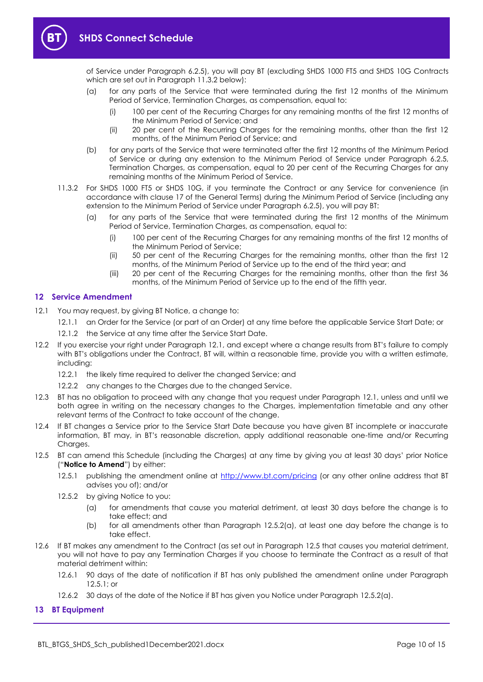

of Service under Paragraph [6.2.5\)](#page-3-0), you will pay BT (excluding SHDS 1000 FT5 and SHDS 10G Contracts which are set out in Paragraph [11.3.2](#page-9-2) below):

- (a) for any parts of the Service that were terminated during the first 12 months of the Minimum Period of Service, Termination Charges, as compensation, equal to:
	- (i) 100 per cent of the Recurring Charges for any remaining months of the first 12 months of the Minimum Period of Service; and
	- (ii) 20 per cent of the Recurring Charges for the remaining months, other than the first 12 months, of the Minimum Period of Service; and
- (b) for any parts of the Service that were terminated after the first 12 months of the Minimum Period of Service or during any extension to the Minimum Period of Service under Paragraph [6.2.5,](#page-3-0)  Termination Charges, as compensation, equal to 20 per cent of the Recurring Charges for any remaining months of the Minimum Period of Service.
- <span id="page-9-2"></span>11.3.2 For SHDS 1000 FT5 or SHDS 10G, if you terminate the Contract or any Service for convenience (in accordance with clause 17 of the General Terms) during the Minimum Period of Service (including any extension to the Minimum Period of Service under Paragrap[h 6.2.5\)](#page-3-0), you will pay BT:
	- (a) for any parts of the Service that were terminated during the first 12 months of the Minimum Period of Service, Termination Charges, as compensation, equal to:
		- (i) 100 per cent of the Recurring Charges for any remaining months of the first 12 months of the Minimum Period of Service;
		- (ii) 50 per cent of the Recurring Charges for the remaining months, other than the first 12 months, of the Minimum Period of Service up to the end of the third year; and
		- (iii) 20 per cent of the Recurring Charges for the remaining months, other than the first 36 months, of the Minimum Period of Service up to the end of the fifth year.

#### <span id="page-9-0"></span>**12 Service Amendment**

- <span id="page-9-3"></span>12.1 You may request, by giving BT Notice, a change to:
	- 12.1.1 an Order for the Service (or part of an Order) at any time before the applicable Service Start Date; or
	- 12.1.2 the Service at any time after the Service Start Date.
- 12.2 If you exercise your right under Paragraph [12.1](#page-9-3), and except where a change results from BT's failure to comply with BT's obligations under the Contract, BT will, within a reasonable time, provide you with a written estimate, including:
	- 12.2.1 the likely time required to deliver the changed Service; and
	- 12.2.2 any changes to the Charges due to the changed Service.
- 12.3 BT has no obligation to proceed with any change that you request under Paragraph [12.1,](#page-9-3) unless and until we both agree in writing on the necessary changes to the Charges, implementation timetable and any other relevant terms of the Contract to take account of the change.
- 12.4 If BT changes a Service prior to the Service Start Date because you have given BT incomplete or inaccurate information, BT may, in BT's reasonable discretion, apply additional reasonable one-time and/or Recurring Charges.
- <span id="page-9-6"></span><span id="page-9-5"></span>12.5 BT can amend this Schedule (including the Charges) at any time by giving you at least 30 days' prior Notice ("**Notice to Amend**") by either:
	- 12.5.1 publishing the amendment online at<http://www.bt.com/pricing> (or any other online address that BT advises you of); and/or
	- 12.5.2 by giving Notice to you:
		- (a) for amendments that cause you material detriment, at least 30 days before the change is to take effect; and
		- (b) for all amendments other than Paragraph [12.5.2\(a\),](#page-9-4) at least one day before the change is to take effect.
- <span id="page-9-4"></span>12.6 If BT makes any amendment to the Contract (as set out in Paragraph [12.5](#page-9-5) that causes you material detriment, you will not have to pay any Termination Charges if you choose to terminate the Contract as a result of that material detriment within:
	- 12.6.1 90 days of the date of notification if BT has only published the amendment online under Paragraph [12.5.1;](#page-9-6) or
	- 12.6.2 30 days of the date of the Notice if BT has given you Notice under Paragraph [12.5.2\(a\).](#page-9-4)

#### <span id="page-9-1"></span>**13 BT Equipment**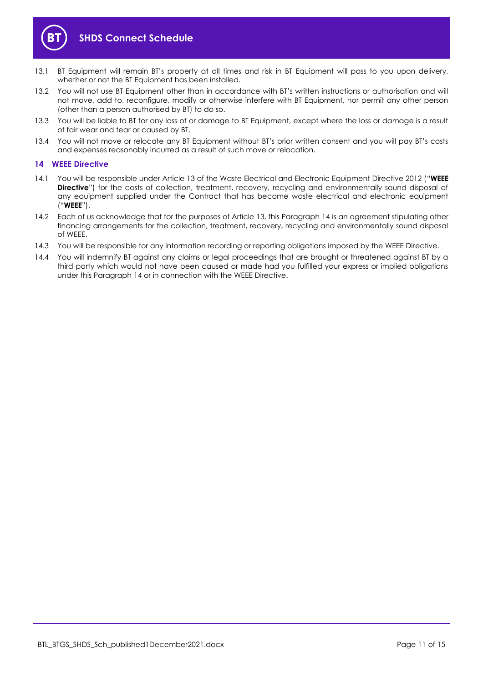

- 13.1 BT Equipment will remain BT's property at all times and risk in BT Equipment will pass to you upon delivery, whether or not the BT Equipment has been installed.
- 13.2 You will not use BT Equipment other than in accordance with BT's written instructions or authorisation and will not move, add to, reconfigure, modify or otherwise interfere with BT Equipment, nor permit any other person (other than a person authorised by BT) to do so.
- 13.3 You will be liable to BT for any loss of or damage to BT Equipment, except where the loss or damage is a result of fair wear and tear or caused by BT.
- 13.4 You will not move or relocate any BT Equipment without BT's prior written consent and you will pay BT's costs and expenses reasonably incurred as a result of such move or relocation.

#### <span id="page-10-0"></span>**14 WEEE Directive**

- <span id="page-10-1"></span>14.1 You will be responsible under Article 13 of the Waste Electrical and Electronic Equipment Directive 2012 ("**WEEE Directive**") for the costs of collection, treatment, recovery, recycling and environmentally sound disposal of any equipment supplied under the Contract that has become waste electrical and electronic equipment ("**WEEE**").
- 14.2 Each of us acknowledge that for the purposes of Article 13, this Paragrap[h 14](#page-10-0) is an agreement stipulating other financing arrangements for the collection, treatment, recovery, recycling and environmentally sound disposal of WEEE.
- 14.3 You will be responsible for any information recording or reporting obligations imposed by the WEEE Directive.
- 14.4 You will indemnify BT against any claims or legal proceedings that are brought or threatened against BT by a third party which would not have been caused or made had you fulfilled your express or implied obligations under this Paragraph [14](#page-10-0) or in connection with the WEEE Directive.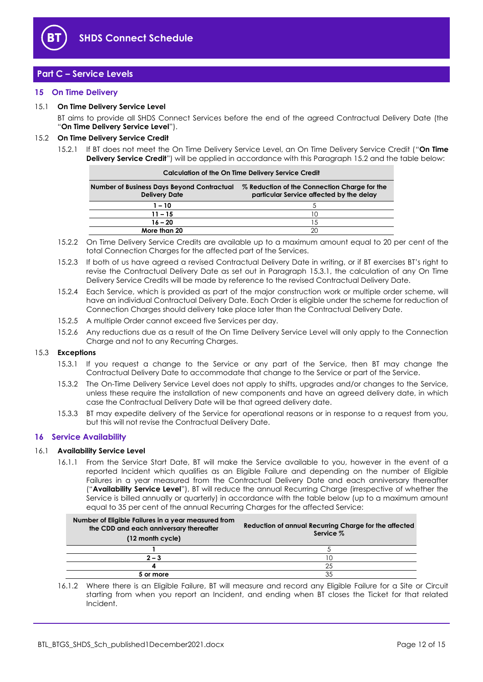

# <span id="page-11-0"></span>**Part C – Service Levels**

#### <span id="page-11-1"></span>**15 On Time Delivery**

#### <span id="page-11-7"></span>15.1 **On Time Delivery Service Level**

BT aims to provide all SHDS Connect Services before the end of the agreed Contractual Delivery Date (the "**On Time Delivery Service Level**").

#### <span id="page-11-6"></span><span id="page-11-3"></span>15.2 **On Time Delivery Service Credit**

15.2.1 If BT does not meet the On Time Delivery Service Level, an On Time Delivery Service Credit ("**On Time Delivery Service Credit**") will be applied in accordance with this Paragraph [15.2](#page-11-3) and the table below:

| <b>Calculation of the On Time Delivery Service Credit</b>          |                                                                                          |  |
|--------------------------------------------------------------------|------------------------------------------------------------------------------------------|--|
| Number of Business Days Beyond Contractual<br><b>Delivery Date</b> | % Reduction of the Connection Charge for the<br>particular Service affected by the delay |  |
| $1 - 10$                                                           |                                                                                          |  |
| $11 - 15$                                                          |                                                                                          |  |
| $16 - 20$                                                          | 1.5                                                                                      |  |
| More than 20                                                       |                                                                                          |  |

- 15.2.2 On Time Delivery Service Credits are available up to a maximum amount equal to 20 per cent of the total Connection Charges for the affected part of the Services.
- 15.2.3 If both of us have agreed a revised Contractual Delivery Date in writing, or if BT exercises BT's right to revise the Contractual Delivery Date as set out in Paragraph [15.3.1,](#page-11-4) the calculation of any On Time Delivery Service Credits will be made by reference to the revised Contractual Delivery Date.
- 15.2.4 Each Service, which is provided as part of the major construction work or multiple order scheme, will have an individual Contractual Delivery Date. Each Order is eligible under the scheme for reduction of Connection Charges should delivery take place later than the Contractual Delivery Date.
- 15.2.5 A multiple Order cannot exceed five Services per day.
- 15.2.6 Any reductions due as a result of the On Time Delivery Service Level will only apply to the Connection Charge and not to any Recurring Charges.

#### <span id="page-11-4"></span>15.3 **Exceptions**

- 15.3.1 If you request a change to the Service or any part of the Service, then BT may change the Contractual Delivery Date to accommodate that change to the Service or part of the Service.
- 15.3.2 The On-Time Delivery Service Level does not apply to shifts, upgrades and/or changes to the Service, unless these require the installation of new components and have an agreed delivery date, in which case the Contractual Delivery Date will be that agreed delivery date.
- 15.3.3 BT may expedite delivery of the Service for operational reasons or in response to a request from you, but this will not revise the Contractual Delivery Date.

#### <span id="page-11-2"></span>**16 Service Availability**

#### <span id="page-11-5"></span>16.1 **Availability Service Level**

16.1.1 From the Service Start Date, BT will make the Service available to you, however in the event of a reported Incident which qualifies as an Eligible Failure and depending on the number of Eligible Failures in a year measured from the Contractual Delivery Date and each anniversary thereafter ("**Availability Service Level**"), BT will reduce the annual Recurring Charge (irrespective of whether the Service is billed annually or quarterly) in accordance with the table below (up to a maximum amount equal to 35 per cent of the annual Recurring Charges for the affected Service:

| Number of Eligible Failures in a year measured from<br>the CDD and each anniversary thereafter<br>(12 month cycle) | Reduction of annual Recurring Charge for the affected<br>Service % |
|--------------------------------------------------------------------------------------------------------------------|--------------------------------------------------------------------|
|                                                                                                                    |                                                                    |
| $2 - 3$                                                                                                            |                                                                    |
|                                                                                                                    | 25                                                                 |
| 5 or more                                                                                                          | 35                                                                 |

16.1.2 Where there is an Eligible Failure, BT will measure and record any Eligible Failure for a Site or Circuit starting from when you report an Incident, and ending when BT closes the Ticket for that related Incident.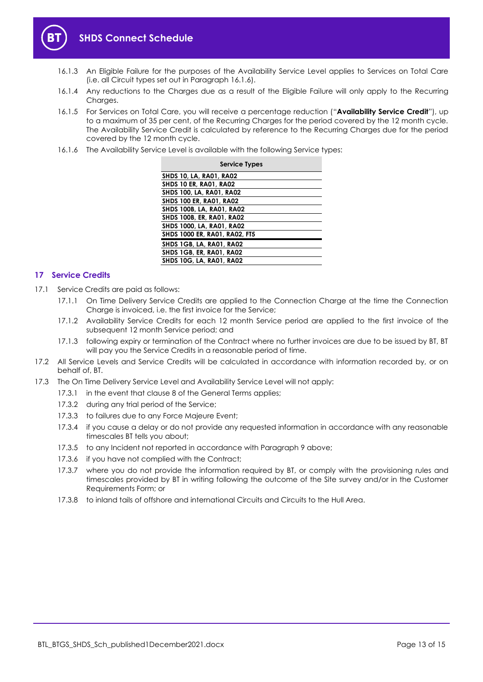

- 16.1.3 An Eligible Failure for the purposes of the Availability Service Level applies to Services on Total Care (i.e. all Circuit types set out in Paragraph [16.1.6\)](#page-12-1).
- 16.1.4 Any reductions to the Charges due as a result of the Eligible Failure will only apply to the Recurring Charges.
- <span id="page-12-2"></span>16.1.5 For Services on Total Care, you will receive a percentage reduction ("**Availability Service Credit**"), up to a maximum of 35 per cent, of the Recurring Charges for the period covered by the 12 month cycle. The Availability Service Credit is calculated by reference to the Recurring Charges due for the period covered by the 12 month cycle.
- <span id="page-12-1"></span>16.1.6 The Availability Service Level is available with the following Service types:

| <b>Service Types</b>                 |
|--------------------------------------|
| <b>SHDS 10, LA, RA01, RA02</b>       |
| <b>SHDS 10 ER. RA01. RA02</b>        |
| <b>SHDS 100, LA, RA01, RA02</b>      |
| <b>SHDS 100 ER, RA01, RA02</b>       |
| <b>SHDS 100B, LA, RA01, RA02</b>     |
| <b>SHDS 100B, ER, RA01, RA02</b>     |
| <b>SHDS 1000, LA, RA01, RA02</b>     |
| <b>SHDS 1000 ER, RA01, RA02, FT5</b> |
| SHDS 1GB, LA, RA01, RA02             |
| SHDS 1GB, ER, RA01, RA02             |
| <b>SHDS 10G. LA. RA01. RA02</b>      |

#### <span id="page-12-0"></span>**17 Service Credits**

- 17.1 Service Credits are paid as follows:
	- 17.1.1 On Time Delivery Service Credits are applied to the Connection Charge at the time the Connection Charge is invoiced, i.e. the first invoice for the Service;
	- 17.1.2 Availability Service Credits for each 12 month Service period are applied to the first invoice of the subsequent 12 month Service period; and
	- 17.1.3 following expiry or termination of the Contract where no further invoices are due to be issued by BT, BT will pay you the Service Credits in a reasonable period of time.
- 17.2 All Service Levels and Service Credits will be calculated in accordance with information recorded by, or on behalf of, BT.
- 17.3 The On Time Delivery Service Level and Availability Service Level will not apply:
	- 17.3.1 in the event that clause 8 of the General Terms applies;
		- 17.3.2 during any trial period of the Service;
		- 17.3.3 to failures due to any Force Majeure Event;
		- 17.3.4 if you cause a delay or do not provide any requested information in accordance with any reasonable timescales BT tells you about;
		- 17.3.5 to any Incident not reported in accordance with Paragrap[h 9](#page-7-0) above;
		- 17.3.6 if you have not complied with the Contract;
		- 17.3.7 where you do not provide the information required by BT, or comply with the provisioning rules and timescales provided by BT in writing following the outcome of the Site survey and/or in the Customer Requirements Form; or
		- 17.3.8 to inland tails of offshore and international Circuits and Circuits to the Hull Area.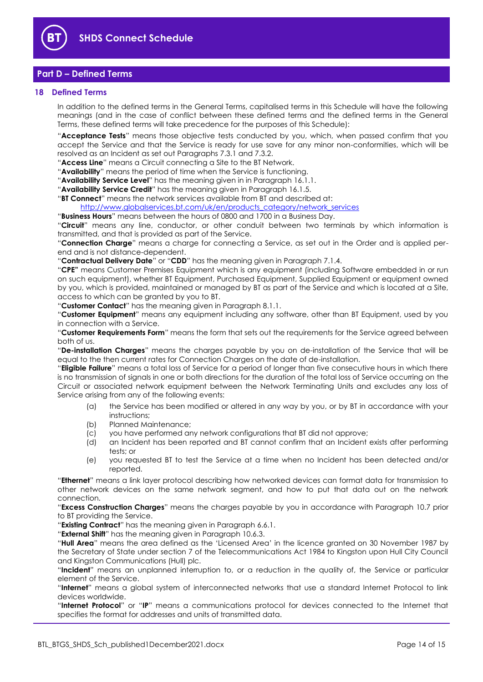

## <span id="page-13-0"></span>**Part D – Defined Terms**

#### <span id="page-13-1"></span>**18 Defined Terms**

In addition to the defined terms in the General Terms, capitalised terms in this Schedule will have the following meanings (and in the case of conflict between these defined terms and the defined terms in the General Terms, these defined terms will take precedence for the purposes of this Schedule):

"**Acceptance Tests**" means those objective tests conducted by you, which, when passed confirm that you accept the Service and that the Service is ready for use save for any minor non-conformities, which will be resolved as an Incident as set out Paragraphs [7.3.1](#page-5-5) and [7.3.2.](#page-5-6)

"**Access Line**" means a Circuit connecting a Site to the BT Network.

"**Availability**" means the period of time when the Service is functioning.

"**Availability Service Level**" has the meaning given in in Paragraph [16.1.1.](#page-11-5)

"**Availability Service Credit**" has the meaning given in Paragraph [16.1.5.](#page-12-2)

"**BT Connect**" means the network services available from BT and described at:

[http://www.globalservices.bt.com/uk/en/products\\_category/network\\_services](https://www.globalservices.bt.com/uk/en/products_category/network_services)

"**Business Hours**" means between the hours of 0800 and 1700 in a Business Day.

"**Circuit**" means any line, conductor, or other conduit between two terminals by which information is transmitted, and that is provided as part of the Service.

"**Connection Charge**" means a charge for connecting a Service, as set out in the Order and is applied perend and is not distance-dependent.

"**Contractual Delivery Date**" or "**CDD**" has the meaning given in Paragraph [7.1.4.](#page-5-7)

"**CPE"** means Customer Premises Equipment which is any equipment (including Software embedded in or run on such equipment), whether BT Equipment, Purchased Equipment, Supplied Equipment or equipment owned by you, which is provided, maintained or managed by BT as part of the Service and which is located at a Site, access to which can be granted by you to BT.

"**Customer Contact**" has the meaning given in Paragraph [8.1.1.](#page-6-3)

"**Customer Equipment**" means any equipment including any software, other than BT Equipment, used by you in connection with a Service.

"**Customer Requirements Form**" means the form that sets out the requirements for the Service agreed between both of us.

"**De-installation Charges**" means the charges payable by you on de-installation of the Service that will be equal to the then current rates for Connection Charges on the date of de-installation.

"**Eligible Failure**" means a total loss of Service for a period of longer than five consecutive hours in which there is no transmission of signals in one or both directions for the duration of the total loss of Service occurring on the Circuit or associated network equipment between the Network Terminating Units and excludes any loss of Service arising from any of the following events:

- (a) the Service has been modified or altered in any way by you, or by BT in accordance with your instructions;
- (b) Planned Maintenance;
- (c) you have performed any network configurations that BT did not approve;
- (d) an Incident has been reported and BT cannot confirm that an Incident exists after performing tests; or
- (e) you requested BT to test the Service at a time when no Incident has been detected and/or reported.

"**Ethernet**" means a link layer protocol describing how networked devices can format data for transmission to other network devices on the same network segment, and how to put that data out on the network connection.

"**Excess Construction Charges**" means the charges payable by you in accordance with Paragraph [10.7](#page-8-1) prior to BT providing the Service.

"**Existing Contract**" has the meaning given in Paragraph [6.6.1.](#page-3-1)

"**External Shift**" has the meaning given in Paragraph [10.6.3.](#page-8-5)

"**Hull Area**" means the area defined as the 'Licensed Area' in the licence granted on 30 November 1987 by the Secretary of State under section 7 of the Telecommunications Act 1984 to Kingston upon Hull City Council and Kingston Communications (Hull) plc.

"**Incident**" means an unplanned interruption to, or a reduction in the quality of, the Service or particular element of the Service.

"**Internet**" means a global system of interconnected networks that use a standard Internet Protocol to link devices worldwide.

"**Internet Protocol**" or "**IP**" means a communications protocol for devices connected to the Internet that specifies the format for addresses and units of transmitted data.